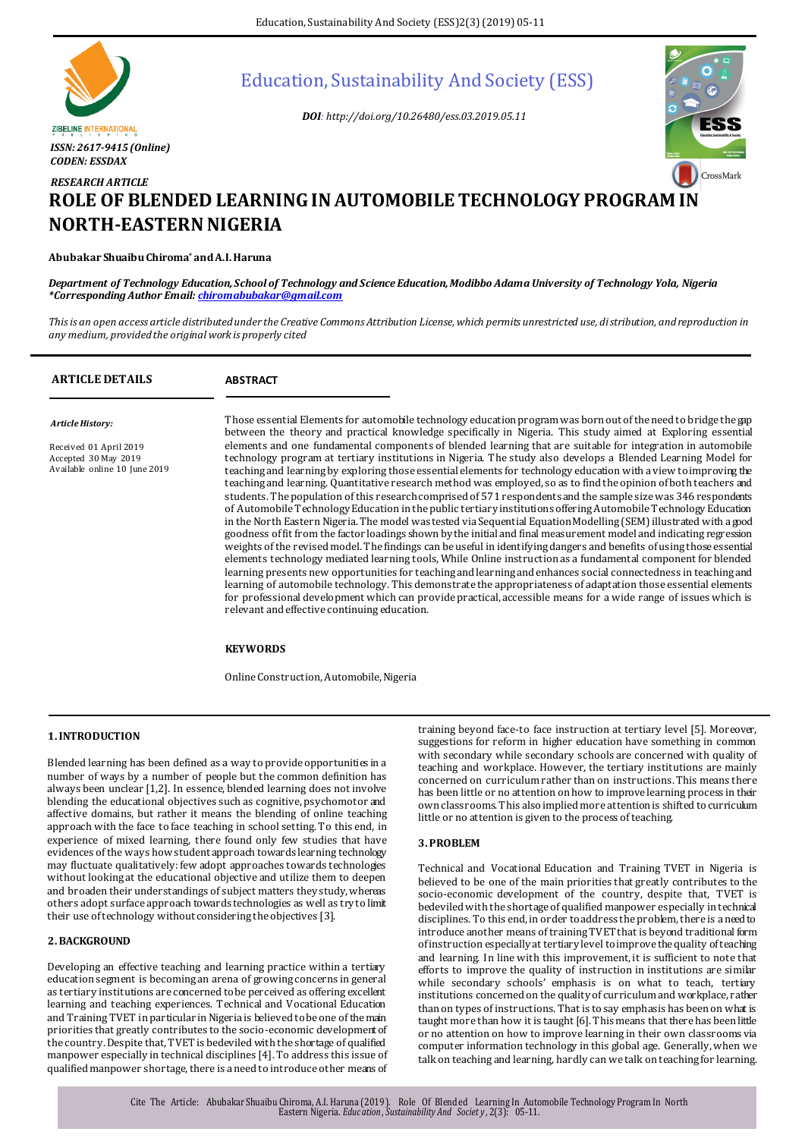

# Education, Sustainability And Society (ESS)

*DOI: http://doi.org/10.26480/ess.03.2019.05.11*



# *RESEARCH ARTICLE* **ROLE OF BLENDED LEARNING IN AUTOMOBILE TECHNOLOGY PROGRAM IN NORTH-EASTERN NIGERIA**

# **Abubakar Shuaibu Chiroma\* and A.I. Haruna**

*Department of Technology Education, School of Technology and Science Education, Modibbo Adama University of Technology Yola, Nigeria \*Corresponding Author Email[: chiromabubakar@gmail.com](mailto:chiromabubakar@gmail.com)*

*This is an open access article distributed under the Creative Commons Attribution License, which permits unrestricted use, distribution, and reproduction in any medium, provided the original work is properly cited*

| <b>ARTICLE DETAILS</b>                                                                              | <b>ABSTRACT</b>                                                                                                                                                                                                                                                                                                                                                                                                                                                                                                                                                                                                                                                                                                                                                                                                                                                                                                                                                                                                                                                                                                                                                                                                                                                                                                                                                                                                                                                                                                                                                                                                                                                                                                                                                                                                                          |
|-----------------------------------------------------------------------------------------------------|------------------------------------------------------------------------------------------------------------------------------------------------------------------------------------------------------------------------------------------------------------------------------------------------------------------------------------------------------------------------------------------------------------------------------------------------------------------------------------------------------------------------------------------------------------------------------------------------------------------------------------------------------------------------------------------------------------------------------------------------------------------------------------------------------------------------------------------------------------------------------------------------------------------------------------------------------------------------------------------------------------------------------------------------------------------------------------------------------------------------------------------------------------------------------------------------------------------------------------------------------------------------------------------------------------------------------------------------------------------------------------------------------------------------------------------------------------------------------------------------------------------------------------------------------------------------------------------------------------------------------------------------------------------------------------------------------------------------------------------------------------------------------------------------------------------------------------------|
| Article History:<br>Received 01 April 2019<br>Accepted 30 May 2019<br>Available online 10 June 2019 | Those essential Elements for automobile technology education program was born out of the need to bridge the gap<br>between the theory and practical knowledge specifically in Nigeria. This study aimed at Exploring essential<br>elements and one fundamental components of blended learning that are suitable for integration in automobile<br>technology program at tertiary institutions in Nigeria. The study also develops a Blended Learning Model for<br>teaching and learning by exploring those essential elements for technology education with a view to improving the<br>teaching and learning. Quantitative research method was employed, so as to find the opinion of both teachers and<br>students. The population of this research comprised of 571 respondents and the sample size was 346 respondents<br>of Automobile Technology Education in the public tertiary institutions offering Automobile Technology Education<br>in the North Eastern Nigeria. The model was tested via Sequential Equation Modelling (SEM) illustrated with a good<br>goodness of fit from the factor loadings shown by the initial and final measurement model and indicating regression<br>weights of the revised model. The findings can be useful in identifying dangers and benefits of using those essential<br>elements technology mediated learning tools, While Online instruction as a fundamental component for blended<br>learning presents new opportunities for teaching and learning and enhances social connectedness in teaching and<br>learning of automobile technology. This demonstrate the appropriateness of adaptation those essential elements<br>for professional development which can provide practical, accessible means for a wide range of issues which is<br>relevant and effective continuing education. |
|                                                                                                     | <b>KEYWORDS</b>                                                                                                                                                                                                                                                                                                                                                                                                                                                                                                                                                                                                                                                                                                                                                                                                                                                                                                                                                                                                                                                                                                                                                                                                                                                                                                                                                                                                                                                                                                                                                                                                                                                                                                                                                                                                                          |

Online Construction, Automobile, Nigeria

# **1.INTRODUCTION**

Blended learning has been defined as a way to provide opportunities in a number of ways by a number of people but the common definition has always been unclear [1,2]. In essence, blended learning does not involve blending the educational objectives such as cognitive, psychomotor and affective domains, but rather it means the blending of online teaching approach with the face to face teaching in school setting. To this end, in experience of mixed learning, there found only few studies that have evidences of the ways how student approach towards learning technology may fluctuate qualitatively: few adopt approaches towards technologies without looking at the educational objective and utilize them to deepen and broaden their understandings of subject matters they study, whereas others adopt surface approach towards technologies as well as try to limit their use of technology without considering the objectives [3].

# **2.BACKGROUND**

Developing an effective teaching and learning practice within a tertiary education segment is becoming an arena of growing concerns in general as tertiary institutions are concerned to be perceived as offering excellent learning and teaching experiences. Technical and Vocational Education and Training TVET in particular in Nigeria is believed to be one of the main priorities that greatly contributes to the socio-economic development of the country. Despite that, TVET is bedeviled with the shortage of qualified manpower especially in technical disciplines [4]. To address this issue of qualified manpower shortage, there is a need to introduce other means of

training beyond face-to face instruction at tertiary level [5]. Moreover, suggestions for reform in higher education have something in common with secondary while secondary schools are concerned with quality of teaching and workplace. However, the tertiary institutions are mainly concerned on curriculum rather than on instructions. This means there has been little or no attention on how to improve learning process in their own classrooms. This also implied more attention is shifted to curriculum little or no attention is given to the process of teaching.

# **3.PROBLEM**

Technical and Vocational Education and Training TVET in Nigeria is believed to be one of the main priorities that greatly contributes to the socio-economic development of the country, despite that, TVET is bedeviled with the shortage of qualified manpower especially in technical disciplines. To this end, in order to address the problem, there is a need to introduce another means of training TVET that is beyond traditional form of instruction especially at tertiary level to improve the quality of teaching and learning. In line with this improvement, it is sufficient to note that efforts to improve the quality of instruction in institutions are similar while secondary schools' emphasis is on what to teach, tertiary institutions concerned on the quality of curriculum and workplace, rather than on types of instructions. That is to say emphasis has been on what is taught more than how it is taught [6]. This means that there has been little or no attention on how to improve learning in their own classrooms via computer information technology in this global age. Generally, when we talk on teaching and learning, hardly can we talk on teaching for learning.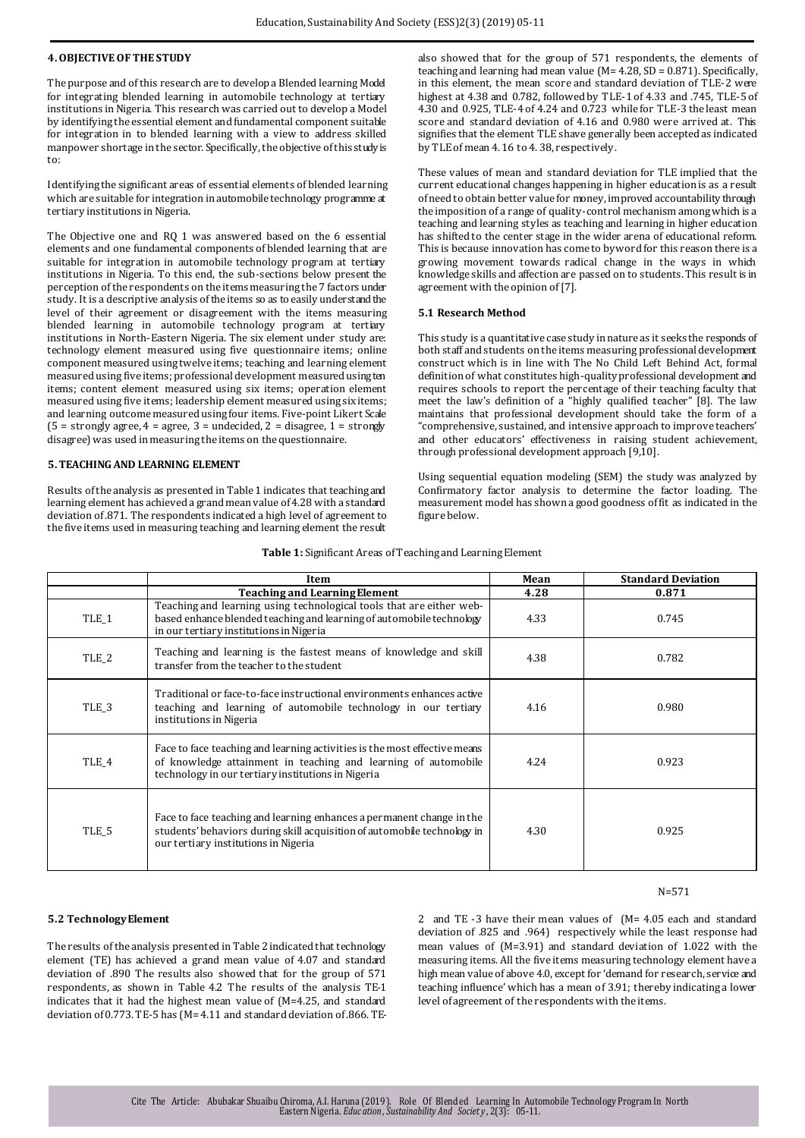# **4.OBJECTIVE OF THE STUDY**

The purpose and of this research are to develop a Blended learning Model for integrating blended learning in automobile technology at tertiary institutions in Nigeria. This research was carried out to develop a Model by identifying the essential element and fundamental component suitable for integration in to blended learning with a view to address skilled manpower shortage in the sector. Specifically, the objective of this study is to:

Identifying the significant areas of essential elements of blended learning which are suitable for integration in automobile technology programme at tertiary institutions in Nigeria.

The Objective one and RQ 1 was answered based on the 6 essential elements and one fundamental components of blended learning that are suitable for integration in automobile technology program at tertiary institutions in Nigeria. To this end, the sub-sections below present the perception of the respondents on the items measuring the 7 factors under study. It is a descriptive analysis of the items so as to easily understand the level of their agreement or disagreement with the items measuring blended learning in automobile technology program at tertiary institutions in North-Eastern Nigeria. The six element under study are: technology element measured using five questionnaire items; online component measured using twelve items; teaching and learning element measured using five items; professional development measured using ten items; content element measured using six items; operation element measured using five items; leadership element measured using six items; and learning outcome measured using four items. Five-point Likert Scale  $(5 =$  strongly agree,  $4 =$  agree,  $3 =$  undecided,  $2 =$  disagree,  $1 =$  strongly disagree) was used in measuring the items on the questionnaire.

#### **5.TEACHING AND LEARNING ELEMENT**

Results of the analysis as presented in Table 1 indicates that teaching and learning element has achieved a grand mean value of 4.28 with a standard deviation of .871. The respondents indicated a high level of agreement to the five items used in measuring teaching and learning element the result

also showed that for the group of 571 respondents, the elements of teaching and learning had mean value (M= 4.28, SD = 0.871). Specifically, in this element, the mean score and standard deviation of TLE-2 were highest at 4.38 and 0.782, followed by TLE-1 of 4.33 and .745, TLE-5 of 4.30 and 0.925, TLE-4 of 4.24 and 0.723 while for TLE-3 the least mean score and standard deviation of 4.16 and 0.980 were arrived at. This signifies that the element TLE shave generally been accepted as indicated by TLE of mean 4. 16 to 4. 38, respectively.

These values of mean and standard deviation for TLE implied that the current educational changes happening in higher education is as a result of need to obtain better value for money, improved accountability through the imposition of a range of quality-control mechanism among which is a teaching and learning styles as teaching and learning in higher education has shifted to the center stage in the wider arena of educational reform. This is because innovation has come to byword for this reason there is a growing movement towards radical change in the ways in which knowledge skills and affection are passed on to students. This result is in agreement with the opinion of [7].

#### **5.1 Research Method**

This study is a quantitative case study in nature as it seeks the responds of both staff and students on the items measuring professional development construct which is in line with The No Child Left Behind Act, formal definition of what constitutes high-quality professional development and requires schools to report the percentage of their teaching faculty that meet the law's definition of a "highly qualified teacher" [8]. The law maintains that professional development should take the form of a "comprehensive, sustained, and intensive approach to improve teachers' and other educators' effectiveness in raising student achievement, through professional development approach [9,10].

Using sequential equation modeling (SEM) the study was analyzed by Confirmatory factor analysis to determine the factor loading. The measurement model has shown a good goodness of fit as indicated in the figure below.

|                  | Item                                                                                                                                                                                              | Mean | <b>Standard Deviation</b> |
|------------------|---------------------------------------------------------------------------------------------------------------------------------------------------------------------------------------------------|------|---------------------------|
|                  | <b>Teaching and Learning Element</b>                                                                                                                                                              | 4.28 | 0.871                     |
| TLE 1            | Teaching and learning using technological tools that are either web-<br>based enhance blended teaching and learning of automobile technology<br>in our tertiary institutions in Nigeria           | 4.33 | 0.745                     |
| TLE_2            | Teaching and learning is the fastest means of knowledge and skill<br>transfer from the teacher to the student                                                                                     | 4.38 | 0.782                     |
| TLE <sub>3</sub> | Traditional or face-to-face instructional environments enhances active<br>teaching and learning of automobile technology in our tertiary<br>institutions in Nigeria                               | 4.16 | 0.980                     |
| TLE 4            | Face to face teaching and learning activities is the most effective means<br>of knowledge attainment in teaching and learning of automobile<br>technology in our tertiary institutions in Nigeria | 4.24 | 0.923                     |
| TLE_5            | Face to face teaching and learning enhances a permanent change in the<br>students' behaviors during skill acquisition of automobile technology in<br>our tertiary institutions in Nigeria         | 4.30 | 0.925                     |

#### **Table 1:** Significant Areas of Teaching and Learning Element

# **5.2 Technology Element**

The results of the analysis presented in Table 2 indicated that technology element (TE) has achieved a grand mean value of 4.07 and standard deviation of .890 The results also showed that for the group of 571 respondents, as shown in Table 4.2 The results of the analysis TE-1 indicates that it had the highest mean value of (M=4.25, and standard deviation of 0.773. TE-5 has (M= 4.11 and standard deviation of .866. TE- 2 and TE -3 have their mean values of (M= 4.05 each and standard deviation of .825 and .964) respectively while the least response had mean values of (M=3.91) and standard deviation of 1.022 with the measuring items. All the five items measuring technology element have a high mean value of above 4.0, except for 'demand for research, service and teaching influence' which has a mean of 3.91; thereby indicating a lower level of agreement of the respondents with the items.

N=571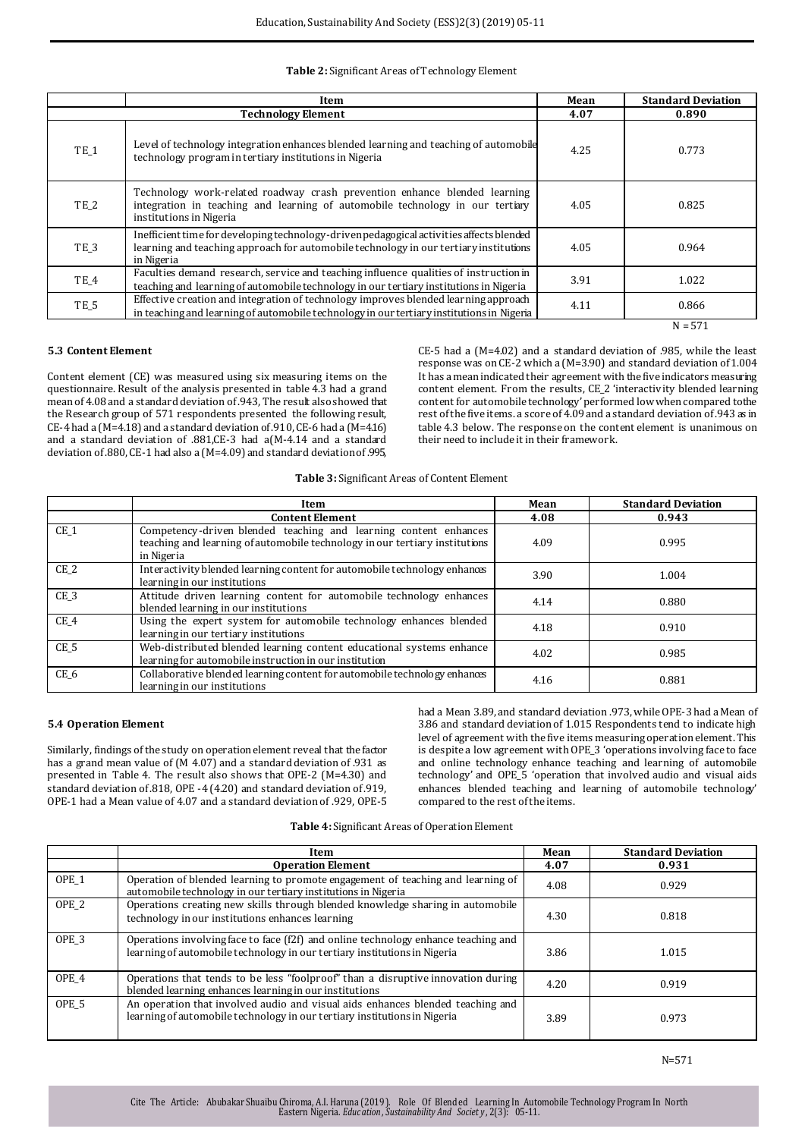# **Table 2:** Significant Areas of Technology Element

|                 | Item                                                                                                                                                                                            | Mean | <b>Standard Deviation</b> |
|-----------------|-------------------------------------------------------------------------------------------------------------------------------------------------------------------------------------------------|------|---------------------------|
|                 | <b>Technology Element</b>                                                                                                                                                                       | 4.07 | 0.890                     |
| TE <sub>1</sub> | Level of technology integration enhances blended learning and teaching of automobile<br>technology program in tertiary institutions in Nigeria                                                  | 4.25 | 0.773                     |
| TE <sub>2</sub> | Technology work-related roadway crash prevention enhance blended learning<br>integration in teaching and learning of automobile technology in our tertiary<br>institutions in Nigeria           | 4.05 | 0.825                     |
| TE_3            | Inefficient time for developing technology-driven pedagogical activities affects blended<br>learning and teaching approach for automobile technology in our tertiary institutions<br>in Nigeria | 4.05 | 0.964                     |
| TE_4            | Faculties demand research, service and teaching influence qualities of instruction in<br>teaching and learning of automobile technology in our tertiary institutions in Nigeria                 | 3.91 | 1.022                     |
| TE_5            | Effective creation and integration of technology improves blended learning approach<br>in teaching and learning of automobile technology in our tertiary institutions in Nigeria                | 4.11 | 0.866                     |
|                 |                                                                                                                                                                                                 |      | $N = 571$                 |

# **5.3 Content Element**

Content element (CE) was measured using six measuring items on the questionnaire. Result of the analysis presented in table 4.3 had a grand mean of 4.08 and a standard deviation of .943, The result also showed that the Research group of 571 respondents presented the following result, CE-4 had a  $(M=4.18)$  and a standard deviation of .910, CE-6 had a  $(M=4.16)$ and a standard deviation of .881,CE-3 had a(M-4.14 and a standard deviation of .880, CE-1 had also a (M=4.09) and standard deviationof .995,

CE-5 had a (M=4.02) and a standard deviation of .985, while the least responsewas on CE-2 which a (M=3.90) and standard deviation of 1.004 It has a mean indicated their agreement with the five indicators measuring content element. From the results, CE\_2 'interactivity blended learning content for automobile technology' performed low when compared to the rest of the five items. a score of 4.09 and a standard deviation of .943 as in table 4.3 below. The response on the content element is unanimous on their need to include it in their framework.

**Table 3:** Significant Areas of Content Element

|                 | Item                                                                                                                                                          | Mean | <b>Standard Deviation</b> |
|-----------------|---------------------------------------------------------------------------------------------------------------------------------------------------------------|------|---------------------------|
|                 | <b>Content Element</b>                                                                                                                                        | 4.08 | 0.943                     |
| CE <sub>1</sub> | Competency-driven blended teaching and learning content enhances<br>teaching and learning of automobile technology in our tertiary institutions<br>in Nigeria | 4.09 | 0.995                     |
| CE <sub>2</sub> | Interactivity blended learning content for automobile technology enhances<br>learning in our institutions                                                     | 3.90 | 1.004                     |
| CE <sub>3</sub> | Attitude driven learning content for automobile technology enhances<br>blended learning in our institutions                                                   | 4.14 | 0.880                     |
| CE 4            | Using the expert system for automobile technology enhances blended<br>learning in our tertiary institutions                                                   | 4.18 | 0.910                     |
| CE <sub>5</sub> | Web-distributed blended learning content educational systems enhance<br>learning for automobile instruction in our institution                                | 4.02 | 0.985                     |
| CE 6            | Collaborative blended learning content for automobile technology enhances<br>learning in our institutions                                                     | 4.16 | 0.881                     |

## **5.4 Operation Element**

Similarly, findings of the study on operation element reveal that the factor has a grand mean value of (M 4.07) and a standard deviation of .931 as presented in Table 4. The result also shows that OPE-2 (M=4.30) and standard deviation of .818, OPE -4 (4.20) and standard deviation of .919, OPE-1 had a Mean value of 4.07 and a standard deviation of .929, OPE-5 had a Mean 3.89, and standard deviation .973, while OPE-3 had a Mean of 3.86 and standard deviation of 1.015 Respondents tend to indicate high level of agreement with the five items measuring operation element. This is despite a low agreement with OPE\_3 'operations involving face to face and online technology enhance teaching and learning of automobile technology' and OPE\_5 'operation that involved audio and visual aids enhances blended teaching and learning of automobile technology' compared to the rest of the items.

**Table 4:** Significant Areas of Operation Element

|                  | Item                                                                                                                                                            |      | <b>Standard Deviation</b> |
|------------------|-----------------------------------------------------------------------------------------------------------------------------------------------------------------|------|---------------------------|
|                  | <b>Operation Element</b>                                                                                                                                        | 4.07 | 0.931                     |
| OPE <sub>1</sub> | Operation of blended learning to promote engagement of teaching and learning of<br>automobile technology in our tertiary institutions in Nigeria                |      | 0.929                     |
| OPE <sub>2</sub> | Operations creating new skills through blended knowledge sharing in automobile<br>technology in our institutions enhances learning                              |      | 0.818                     |
| OPE <sub>3</sub> | Operations involving face to face (f2f) and online technology enhance teaching and<br>learning of automobile technology in our tertiary institutions in Nigeria | 3.86 | 1.015                     |
| OPE <sub>4</sub> | Operations that tends to be less "foolproof" than a disruptive innovation during<br>blended learning enhances learning in our institutions                      | 4.20 | 0.919                     |
| OPE <sub>5</sub> | An operation that involved audio and visual aids enhances blended teaching and<br>learning of automobile technology in our tertiary institutions in Nigeria     | 3.89 | 0.973                     |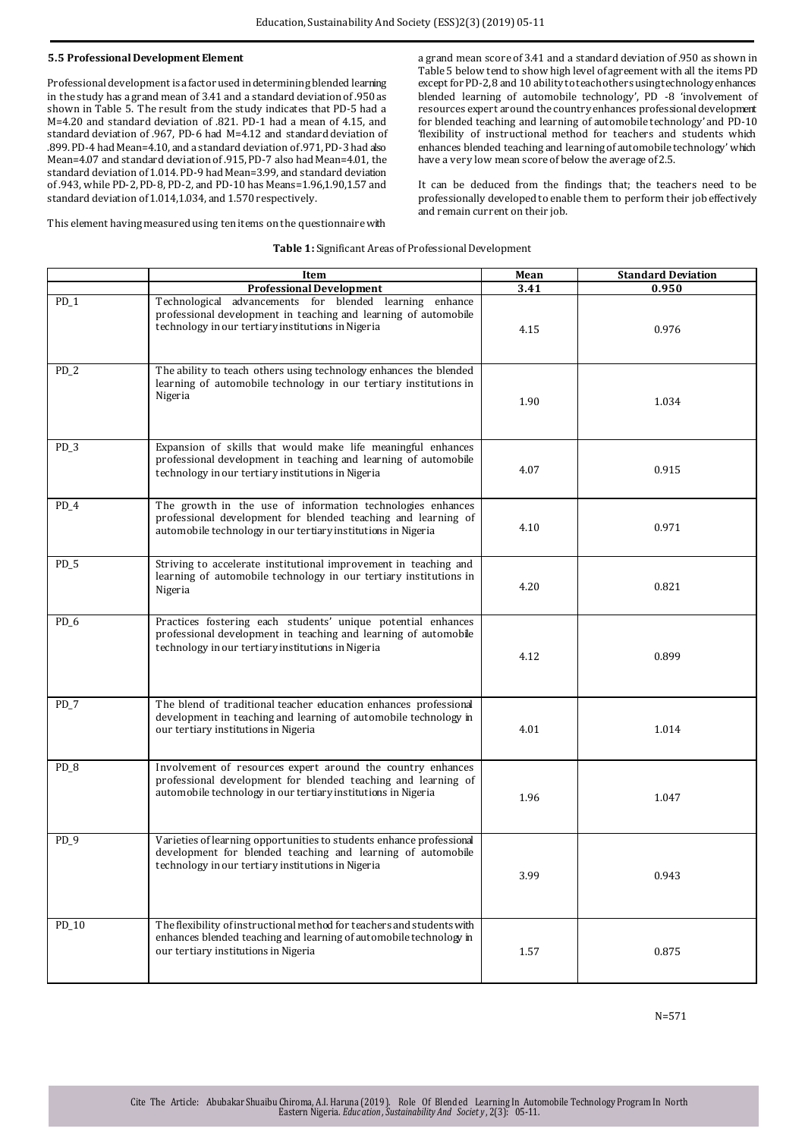### **5.5 Professional Development Element**

Professional development is a factor used in determining blended learning in the study has a grand mean of 3.41 and a standard deviation of .950 as shown in Table 5. The result from the study indicates that PD-5 had a M=4.20 and standard deviation of .821. PD-1 had a mean of 4.15, and standard deviation of .967, PD-6 had M=4.12 and standard deviation of .899. PD-4 had Mean=4.10, and a standard deviation of .971, PD-3 had also Mean=4.07 and standard deviation of .915, PD-7 also had Mean=4.01, the standard deviation of 1.014. PD-9 had Mean=3.99, and standard deviation of .943, while PD-2, PD-8, PD-2, and PD-10 has Means=1.96,1.90,1.57 and standard deviation of 1.014,1.034, and 1.570 respectively.

a grand mean score of 3.41 and a standard deviation of .950 as shown in Table 5 below tend to show high level of agreement with all the items PD except for PD-2, 8 and 10 ability to teach others using technology enhances blended learning of automobile technology', PD -8 'involvement of resources expert around the country enhances professional development for blended teaching and learning of automobile technology' and PD-10 'flexibility of instructional method for teachers and students which enhances blended teaching and learning of automobile technology' which have a very low mean score of below the average of 2.5.

It can be deduced from the findings that; the teachers need to be professionally developed to enable them to perform their job effectively and remain current on their job.

This element having measured using ten items on the questionnaire with

#### **Table 1:** Significant Areas of Professional Development

|        | Item                                                                                                                                                                                          |      | <b>Standard Deviation</b> |
|--------|-----------------------------------------------------------------------------------------------------------------------------------------------------------------------------------------------|------|---------------------------|
|        | <b>Professional Development</b>                                                                                                                                                               | 3.41 | 0.950                     |
| $PD_1$ | Technological advancements for blended learning<br>enhance<br>professional development in teaching and learning of automobile<br>technology in our tertiary institutions in Nigeria           | 4.15 | 0.976                     |
| $PD_2$ | The ability to teach others using technology enhances the blended<br>learning of automobile technology in our tertiary institutions in<br>Nigeria                                             | 1.90 | 1.034                     |
| $PD_3$ | Expansion of skills that would make life meaningful enhances<br>professional development in teaching and learning of automobile<br>technology in our tertiary institutions in Nigeria         | 4.07 | 0.915                     |
| $PD_4$ | The growth in the use of information technologies enhances<br>professional development for blended teaching and learning of<br>automobile technology in our tertiary institutions in Nigeria  | 4.10 | 0.971                     |
| $PD_5$ | Striving to accelerate institutional improvement in teaching and<br>learning of automobile technology in our tertiary institutions in<br>Nigeria                                              | 4.20 | 0.821                     |
| $PD_6$ | Practices fostering each students' unique potential enhances<br>professional development in teaching and learning of automobile<br>technology in our tertiary institutions in Nigeria         | 4.12 | 0.899                     |
| $PD_7$ | The blend of traditional teacher education enhances professional<br>development in teaching and learning of automobile technology in<br>our tertiary institutions in Nigeria                  | 4.01 | 1.014                     |
| $PD_8$ | Involvement of resources expert around the country enhances<br>professional development for blended teaching and learning of<br>automobile technology in our tertiary institutions in Nigeria | 1.96 | 1.047                     |
| $PD_9$ | Varieties of learning opportunities to students enhance professional<br>development for blended teaching and learning of automobile<br>technology in our tertiary institutions in Nigeria     | 3.99 | 0.943                     |
| PD_10  | The flexibility of instructional method for teachers and students with<br>enhances blended teaching and learning of automobile technology in<br>our tertiary institutions in Nigeria          | 1.57 | 0.875                     |

N=571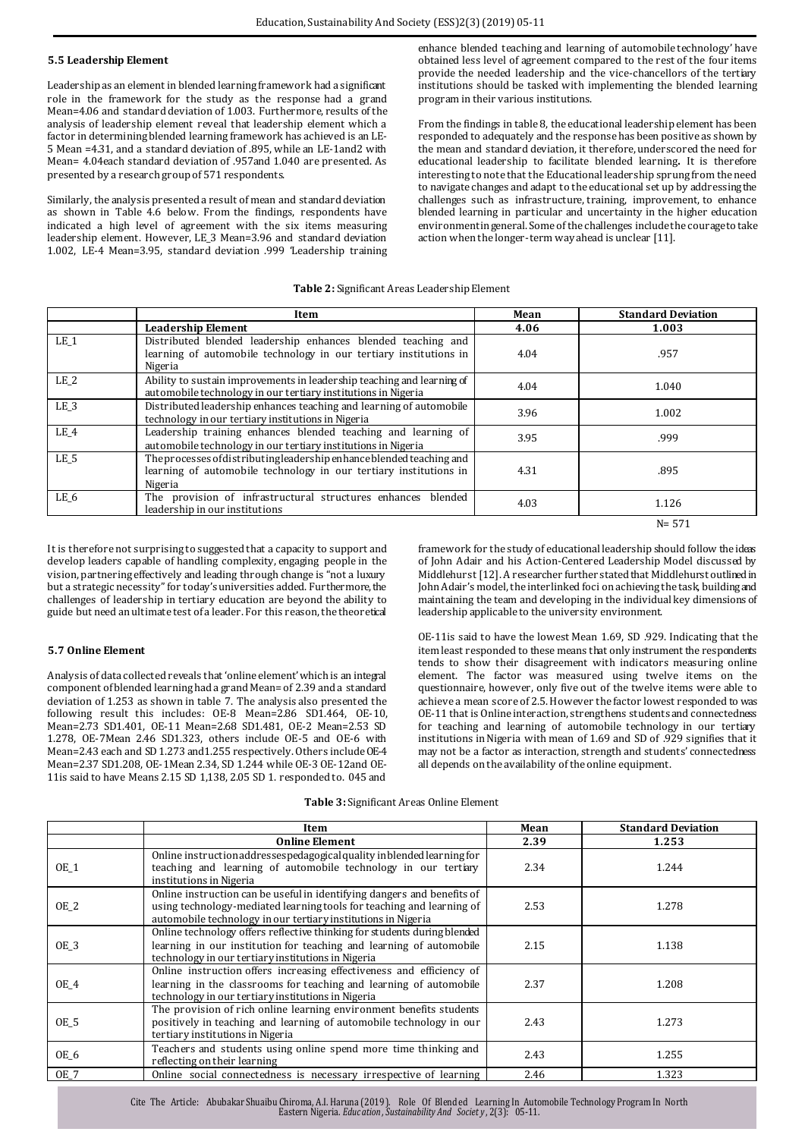#### **5.5 Leadership Element**

Leadership as an element in blended learning framework had a significant role in the framework for the study as the response had a grand Mean=4.06 and standard deviation of 1.003. Furthermore, results of the analysis of leadership element reveal that leadership element which a factor in determining blended learning framework has achieved is an LE-5 Mean =4.31, and a standard deviation of .895, while an LE-1and2 with Mean= 4.04each standard deviation of .957and 1.040 are presented. As presented by a research group of 571 respondents.

Similarly, the analysis presented a result of mean and standard deviation as shown in Table 4.6 below. From the findings, respondents have indicated a high level of agreement with the six items measuring leadership element. However, LE\_3 Mean=3.96 and standard deviation 1.002, LE-4 Mean=3.95, standard deviation .999 'Leadership training

enhance blended teaching and learning of automobile technology' have obtained less level of agreement compared to the rest of the four items provide the needed leadership and the vice-chancellors of the tertiary institutions should be tasked with implementing the blended learning program in their various institutions.

From the findings in table 8, the educational leadership element has been responded to adequately and the response has been positive as shown by the mean and standard deviation, it therefore, underscored the need for educational leadership to facilitate blended learning**.** It is therefore interesting to note that the Educational leadership sprung from the need to navigate changes and adapt to the educational set up by addressing the challenges such as infrastructure, training, improvement, to enhance blended learning in particular and uncertainty in the higher education environment in general. Some of the challenges include the courage to take action when the longer-term way ahead is unclear [11].

## **Table 2:** Significant Areas Leadership Element

|                 | Item                                                                                                                                                  | Mean | <b>Standard Deviation</b> |
|-----------------|-------------------------------------------------------------------------------------------------------------------------------------------------------|------|---------------------------|
|                 | <b>Leadership Element</b>                                                                                                                             | 4.06 | 1.003                     |
| LE 1            | Distributed blended leadership enhances blended teaching and<br>learning of automobile technology in our tertiary institutions in<br>Nigeria          |      | .957                      |
| LE <sub>2</sub> | Ability to sustain improvements in leadership teaching and learning of<br>automobile technology in our tertiary institutions in Nigeria               | 4.04 | 1.040                     |
| LE <sub>3</sub> | Distributed leadership enhances teaching and learning of automobile<br>technology in our tertiary institutions in Nigeria                             | 3.96 | 1.002                     |
| LE_4            | Leadership training enhances blended teaching and learning of<br>automobile technology in our tertiary institutions in Nigeria                        | 3.95 | .999                      |
| LE <sub>5</sub> | The processes of distributing leadership enhance blended teaching and<br>learning of automobile technology in our tertiary institutions in<br>Nigeria | 4.31 | .895                      |
| LE 6            | The provision of infrastructural structures enhances blended<br>leadership in our institutions                                                        | 4.03 | 1.126                     |
|                 |                                                                                                                                                       |      | $N = 571$                 |

It is therefore not surprising to suggested that a capacity to support and develop leaders capable of handling complexity, engaging people in the vision, partnering effectively and leading through change is "not a luxury but a strategic necessity" for today's universities added. Furthermore, the challenges of leadership in tertiary education are beyond the ability to guide but need an ultimate test of a leader. For this reason, the theoretical

#### **5.7 Online Element**

Analysis of data collected reveals that 'online element' which is an integral component of blended learning had a grand Mean= of 2.39 and a standard deviation of 1.253 as shown in table 7. The analysis also presented the following result this includes: OE-8 Mean=2.86 SD1.464, OE-10, Mean=2.73 SD1.401, OE-11 Mean=2.68 SD1.481, OE-2 Mean=2.53 SD 1.278, OE-7Mean 2.46 SD1.323, others include OE-5 and OE-6 with Mean=2.43 each and SD 1.273 and1.255 respectively. Others include OE-4 Mean=2.37 SD1.208, OE-1Mean 2.34, SD 1.244 while OE-3 OE-12and OE-11is said to have Means 2.15 SD 1,138, 2.05 SD 1. responded to. 045 and

framework for the study of educational leadership should follow the ideas of John Adair and his Action-Centered Leadership Model discussed by Middlehurst [12]. A researcher further stated that Middlehurst outlined in John Adair's model, the interlinked foci on achieving the task, building and maintaining the team and developing in the individual key dimensions of leadership applicable to the university environment.

OE-11is said to have the lowest Mean 1.69, SD .929. Indicating that the item least responded to these means that only instrument the respondents tends to show their disagreement with indicators measuring online element. The factor was measured using twelve items on the questionnaire, however, only five out of the twelve items were able to achieve a mean score of 2.5. However the factor lowest responded to was OE-11 that is Online interaction, strengthens students and connectedness for teaching and learning of automobile technology in our tertiary institutions in Nigeria with mean of 1.69 and SD of .929 signifies that it may not be a factor as interaction, strength and students' connectedness all depends on the availability of the online equipment.

| Table 3: Significant Areas Online Element |  |
|-------------------------------------------|--|
|-------------------------------------------|--|

|             | Item                                                                                                                                                                                                              | Mean | <b>Standard Deviation</b> |
|-------------|-------------------------------------------------------------------------------------------------------------------------------------------------------------------------------------------------------------------|------|---------------------------|
|             | <b>Online Element</b>                                                                                                                                                                                             | 2.39 | 1.253                     |
| $OE_1$      | Online instruction addressespedagogical quality in blended learning for<br>teaching and learning of automobile technology in our tertiary<br>institutions in Nigeria                                              | 2.34 | 1.244                     |
| OE_2        | Online instruction can be useful in identifying dangers and benefits of<br>using technology-mediated learning tools for teaching and learning of<br>automobile technology in our tertiary institutions in Nigeria | 2.53 | 1.278                     |
| <b>OE 3</b> | Online technology offers reflective thinking for students during blended<br>learning in our institution for teaching and learning of automobile<br>technology in our tertiary institutions in Nigeria             | 2.15 | 1.138                     |
| OE 4        | Online instruction offers increasing effectiveness and efficiency of<br>learning in the classrooms for teaching and learning of automobile<br>technology in our tertiary institutions in Nigeria                  | 2.37 | 1.208                     |
| OE_5        | The provision of rich online learning environment benefits students<br>positively in teaching and learning of automobile technology in our<br>tertiary institutions in Nigeria                                    | 2.43 | 1.273                     |
| OE_6        | Teachers and students using online spend more time thinking and<br>reflecting on their learning                                                                                                                   | 2.43 | 1.255                     |
| <b>OE 7</b> | Online social connectedness is necessary irrespective of learning                                                                                                                                                 | 2.46 | 1.323                     |

Cite The Article: Abubakar Shualbu Chiroma, A.I. Haruna (2019). Role Of Biended Learning in Automobile Fechnology Program in North<br>Eastern Nigeria. *Education , Sustainability And Society* , 2(3): 05-11.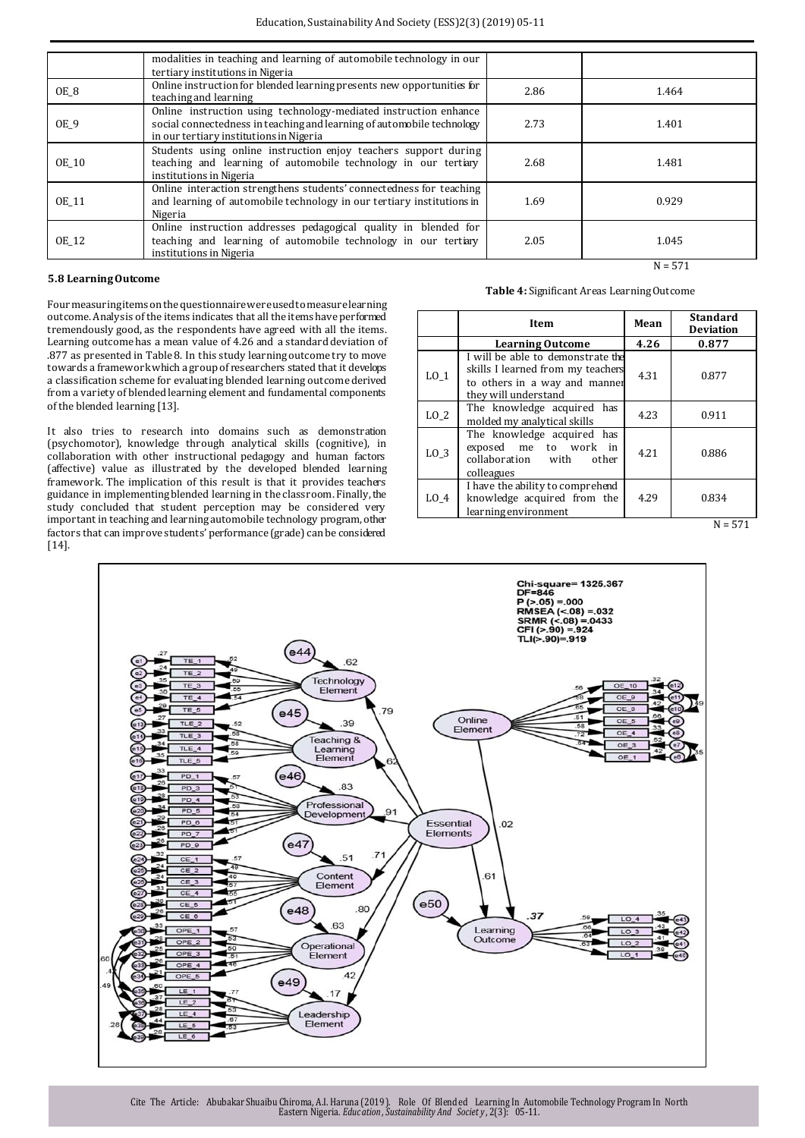|              | modalities in teaching and learning of automobile technology in our<br>tertiary institutions in Nigeria           |      |           |
|--------------|-------------------------------------------------------------------------------------------------------------------|------|-----------|
|              |                                                                                                                   |      |           |
| OE_8         | Online instruction for blended learning presents new opportunities for<br>teaching and learning                   | 2.86 | 1.464     |
|              | Online instruction using technology-mediated instruction enhance                                                  |      |           |
| OE 9         | social connectedness in teaching and learning of automobile technology<br>in our tertiary institutions in Nigeria | 2.73 | 1.401     |
|              | Students using online instruction enjoy teachers support during                                                   |      |           |
| <b>OE 10</b> | teaching and learning of automobile technology in our tertiary<br>institutions in Nigeria                         | 2.68 | 1.481     |
|              | Online interaction strengthens students' connectedness for teaching                                               |      |           |
| <b>OE 11</b> | and learning of automobile technology in our tertiary institutions in                                             | 1.69 | 0.929     |
|              | Nigeria                                                                                                           |      |           |
|              | Online instruction addresses pedagogical quality in blended for                                                   |      |           |
| <b>OE 12</b> | teaching and learning of automobile technology in our tertiary                                                    | 2.05 | 1.045     |
|              | institutions in Nigeria                                                                                           |      |           |
|              |                                                                                                                   |      | $N = 571$ |

#### **5.8 Learning Outcome**

**Table 4:** Significant Areas Learning Outcome

Four measuring items on the questionnaire were used to measure learning outcome. Analysis of the items indicates that all the items have performed tremendously good, as the respondents have agreed with all the items. Learning outcome has a mean value of 4.26 and a standard deviation of .877 as presented in Table 8. In this study learning outcome try to move towards a framework which a group of researchers stated that it develops a classification scheme for evaluating blended learning outcome derived from a variety of blended learning element and fundamental components of the blended learning [13].

It also tries to research into domains such as demonstration (psychomotor), knowledge through analytical skills (cognitive), in collaboration with other instructional pedagogy and human factors (affective) value as illustrated by the developed blended learning framework. The implication of this result is that it provides teachers guidance in implementing blended learning in the classroom. Finally, the study concluded that student perception may be considered very important in teaching and learning automobile technology program, other factors that can improve students' performance (grade) can be considered [14].

|      | Item                                                                                                                            | Mean | <b>Standard</b><br><b>Deviation</b> |
|------|---------------------------------------------------------------------------------------------------------------------------------|------|-------------------------------------|
|      | <b>Learning Outcome</b>                                                                                                         | 4.26 | 0.877                               |
| LO 1 | I will be able to demonstrate the<br>skills I learned from my teachers<br>to others in a way and manner<br>they will understand | 4.31 | 0.877                               |
| LO 2 | The knowledge acquired has<br>molded my analytical skills                                                                       | 4.23 | 0.911                               |
| LO 3 | The knowledge acquired has<br>exposed me to work in<br>collaboration with<br>other<br>colleagues                                | 4.21 | 0.886                               |
| LO 4 | I have the ability to comprehend<br>knowledge acquired from the<br>learning environment                                         | 4.29 | 0.834                               |